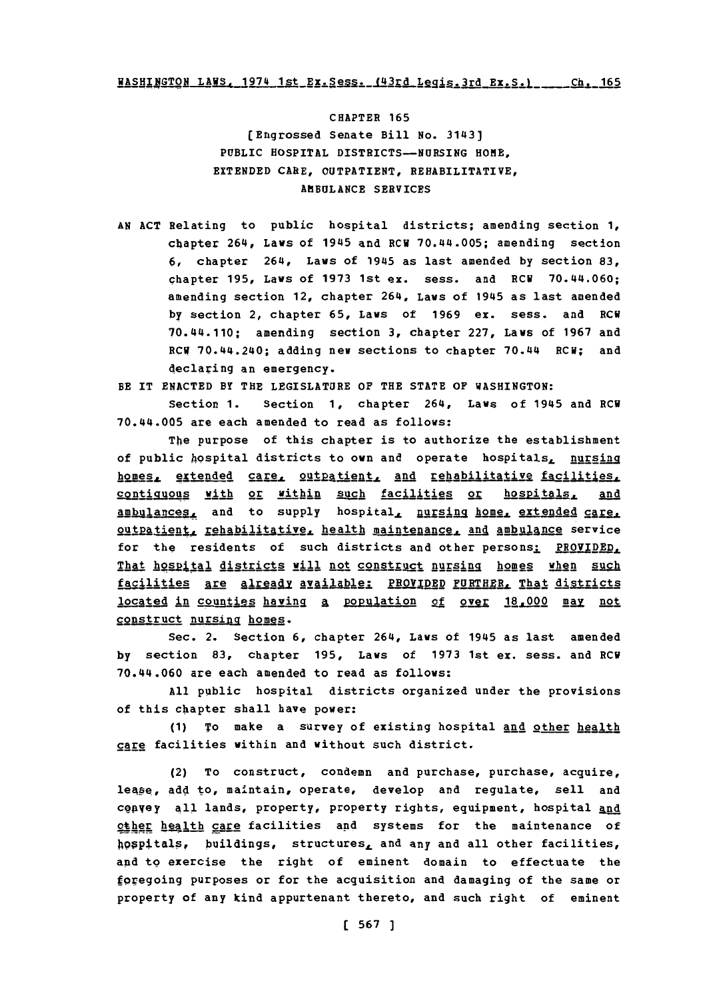# WASHINGTON LAWS, 1974 1st Ex. Sess. (43rd Legis. 3rd Ex. S.) Ch. 165

CHAPTER **165** (Engrossed Senate Bill **No.** 3143] PUBLIC **HOSPITAL** DISTRICTS-NURSING HOME, **EXTENDED** CARE, OUTPATIENT, REHABILITATIVE, **AMBULANCE SERVICES**

**AN ACT** Relating to public hospital districts; amending section **1,** chapter 264, Laws of 1945 and ECW 70.44.005; amending section **6,** chapter 264, Laws of 1945 as last amended **by** section **83,** chapter **195,** Laws of **1973** 1st ex. sess. and ECU 70.44.060; amending section 12, chapter 264, Laws of 1945 as last amended **by** section 2, chapter **65,** Laws of **1969** ex. sess. and ECU 70.44.110; amending section **3,** chapter **227,** Laws of **1967** and **ECW** 70.44.240; adding new sections to chapter 70.44 ECU; and declaring an emergency.

BE IT **ENACTED** BY THE LEGISLATURE OF THE **STATE** OF WASHINGTON:

Section **1.** Section **1,** chapter 264, Laws of 1945 and RCW 70.44.005 are each amended to read as follows:

The purpose of this chapter is to authorize the establishment of public hospital districts to own and operate hospitals, nursing homes, extended care, outpatient, and rehabilitative facilities, contiguous with or within such facilities or hospitals, and ambulances, and to supply hospital, nursing home, extended care. outpatient, rehabilitative, health maintenance, and ambulance service for the residents of such districts and other persons: PROVIDED, That hospital districts will not construct nursing homes when such facilities are already available: PROVIDED PURTHER, That districts located in counties having a population of over 18.000 may not construct nursing homes.

Sec. 2. Section **6,** chapter 264, Laws of 1945 as last amended **by** section **83,** chapter **195,** Laws **of 1973** 1st ex. sess. and ECU 70.44.060 are each amended to read as follows:

**All** public hospital districts organized under the provisions of this chapter shall have power:

**(1)** To make a survey of existing hospital and other health care facilities within and without such district.

(2) To construct, condemn and purchase, purchase, acquire, lease, add to, maintain, operate, develop and regulate, sell and cenvey all lands, property, property rights, equipment, hospital and other health care facilities and systems for the maintenance of hospttals, buildings, structures, and any and all other facilities, and to exercise the right of eminent domain to effectuate the foregoing purposes or for the acquisition and damaging of the same or property of any kind appurtenant thereto, and such right of eminent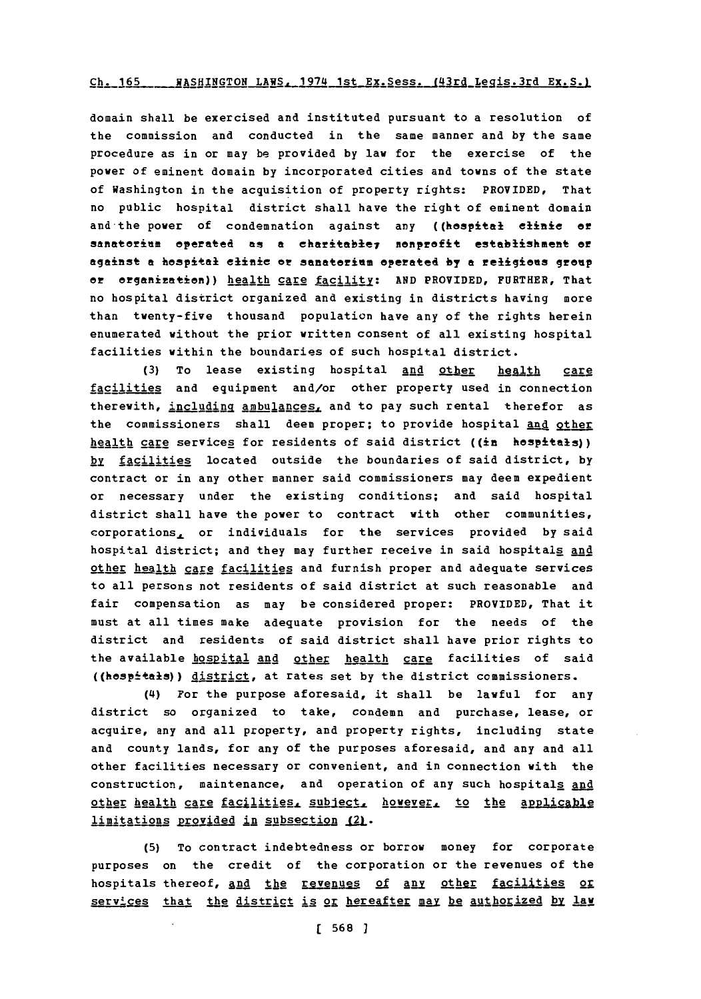#### Ch. 165 \_\_\_\_ WASHINGTON LAWS, 1974 1st Ex. Sess. (43rd Legis.3rd Ex. S.)

domain shall be exercised and instituted pursuant to a resolution of the commission and conducted in the same manner and **by** the same procedure as in or may be provided **by** law for the exercise of the power of eminent domain **by** incorporated cities and towns of the state of Washington in the acquisition of property rights: PROVIDED, That no public hospital district shall have the right of eminent domain and the power of condemnation against any ((hospital clinic or sanatorium operated as a charitable<sub>7</sub> nonprofit establishment or against **a** hospital cinic or sanatorium operated **by <sup>a</sup>**religions group or organization)) health care facility: AND PROVIDED, FURTHER, That no hospital district organized and existing in districts having more than twenty-five thousand population have any of the rights herein enumerated without the prior written consent of all existing hospital facilities within the boundaries of such hospital district.

**(3)** To lease existing hospital and other health care facilities and equipment and/or other property used in connection therewith, including ambulances, and to pay such rental therefor as the commissioners shall deem proper; to provide hospital and other health care services for residents of said district ((in hospitals)) by facilities located outside the boundaries of said district, by contract or in any other manner said commissioners may deem expedient or necessary under the existing conditions; and said hospital district shall have the power to contract with other communities, corporations, or individuals for the services provided **by** said hospital district; and they may further receive in said hospitals and other health care facilities and furnish proper and adequate services to all persons not residents of said district at such reasonable and fair compensation as may be considered proper: PROVIDED, That it must at all times make adequate provision for the needs of the district and residents of said district shall have prior rights to the available hospital and other health care facilities of said ((hospitals)) district, at rates set by the district commissioners.

(4) For the purpose aforesaid, it shall be lawful for any district so organized to take, condemn and purchase, lease, or acquire, any and all property, and property rights, including state and county lands, for any of the purposes aforesaid, and any and all other facilities necessary or convenient, and in connection with the construction, maintenance, and operation of any such hospitals and other health care facilities, subject, however, to the applicable limitations provided in subsection (2).

**(5)** To contract indebtedness or borrow money for corporate purposes on the credit of the corporation or the revenues of the hospitals thereof, and the revenues of any other facilities or services that the district is or hereafter may be authorized by law

**[ 568 1**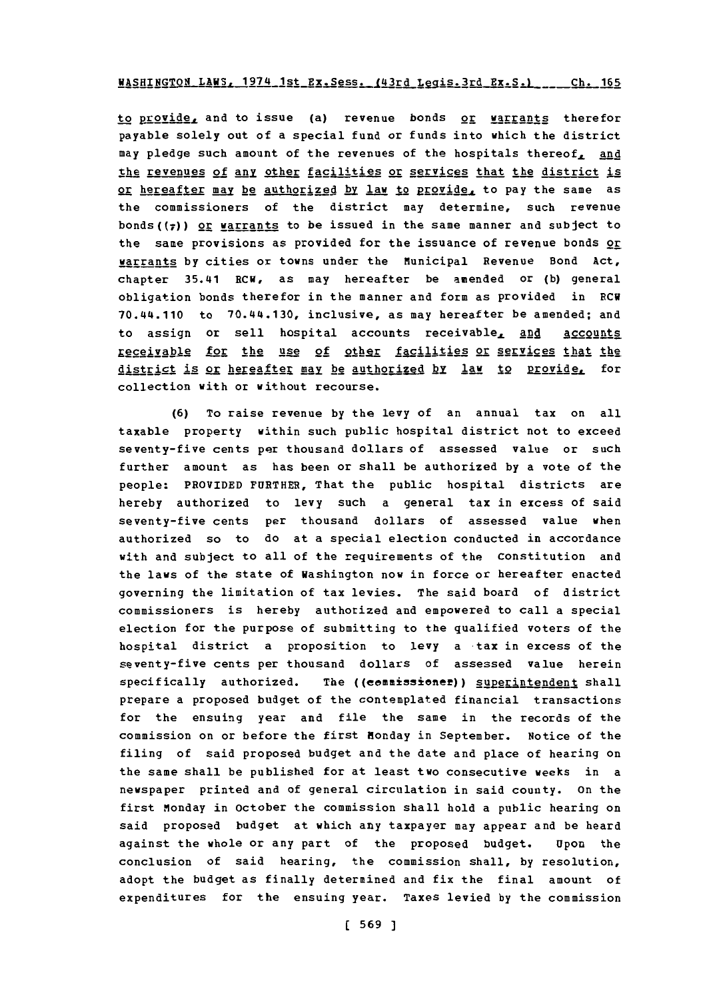## WASHINGTON LAWS. 1974 1st Ex.Sess. t43rd **Leais.3rc Rx.S.1 ~-.1. ir~ ,I- Ic**

to provide, and to issue (a) revenue bonds or warrants therefor payable solely out of a special fund or funds into which the district may pledge such amount of the revenues of the hospitals thereof, and tihe revenues **of** Any other facilities or services that the district is or hereafter may be authorized by law to provide, to pay the same as the commissioners of the district may determine, such revenue bonds( $(7)$ ) or warrants to be issued in the same manner and subject to the same provisions as provided for the issuance of revenue bonds or warrants **by** cities or towns under the Municipal Revenue Bond Act, chapter 35.41 RCW, as may hereafter be amended or **(b)** general obligation bonds therefor in the manner and form as provided in **ECW** 70.44.110 to 70.44.130, inclusive, as may hereafter be amended; and to assign or sell hospital accounts receivable, and accounts **XqSIj~IN** for the use of othgr facilities or sevices that the district is or hereafter may be authorized by law to provide, for collection with or without recourse.

**(6)** To raise revenue **by** the levy of an annual tax on all taxable property within such public hospital district not to exceed seventy-five cents per thousand dollars of assessed value or such further amount as has been or shall be authorized **by** a vote of the people: PROVIDED FURTHER, That the public hospital districts are hereby authorized to levy such a general tax in excess of said seventy-five cents per thousand dollars of assessed value when authorized so to do at a special election conducted in accordance with and subject to all of the requirements of the Constitution and the laws of the state of Washington now in force or hereafter enacted governing the limitation of tax levies. The said board of district commissioners is hereby authorized and empowered to call a special election for the purpose of submitting to the qualified voters of the hospital district a proposition to levy a tax in excess of the seventy-five cents per thousand dollars of assessed value herein specifically authorized. The ((commissioner)) superintendent shall prepare a proposed budget of the contemplated financial transactions for the ensuing year and file the same in the records of the commission on or before the first Honday in September. Notice of the filing of said proposed budget and the date and place of hearing on the same shall be published for at least two consecutive weeks in a newspaper printed and of general circulation in said county. On the first Monday in October the commission shall hold a public hearing on said proposed budget at which any taxpayer may appear and be heard against the whole or any part of the proposed budget. Upon the conclusion of said hearing, the commission shall, **by** resolution, adopt the budget as finally determined and fix the final amount of expenditures for the ensuing year. Taxes levied **by** the commission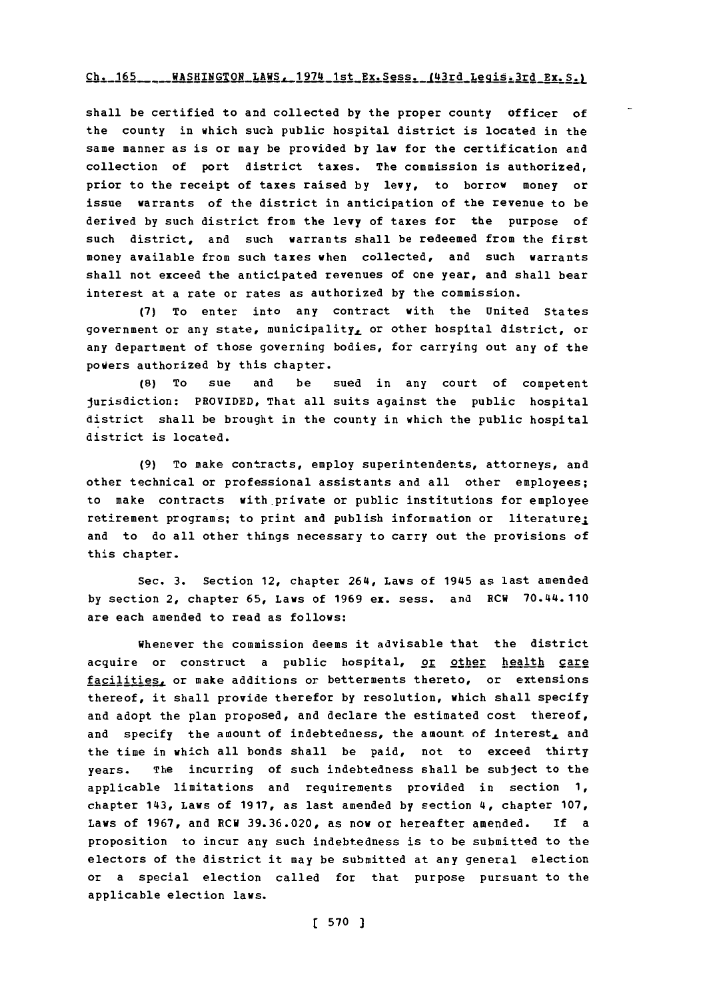#### Ch. 165 ... WASHINGTON LAWS. 1974 1st Ex. Sess. (43rd Legis. 3rd Ex. S.)

shall be certified to and collected **by** the proper county Of ficer of the county in which such public hospital district is located in the same manner as is or may be provided **by** law for the certification and collection of port district taxes. The commission is authorized. prior to the receipt of taxes raised **by** levy, to borrow money or issue warrants of the district in anticipation of the revenue to be derived **by** such district from the levy of taxes for the purpose of such district, and such warrants shall be redeemed from the first money available from such taxes when collected, and such warrants shall not exceed the anticipated revenues of one year, and shall bear interest at a rate or rates as authorized by the commission.

**(7)** To enter into any contract with the United States government or any state, municipality, or other hospital district, or any department of those governing bodies, for carrying out any of the powers authorized **by** this chapter.

**(8)** To sue and be sued in any court of competent jurisdiction: PROVIDED, That all suits against the public hospital district shall be brought in the county in which the public hospital district is located.

**(9)** To make contracts, employ superintendents, attorneys, and other technical or professional assistants and all other employees; to make contracts with private or public institutions for employee retirement programs; to print and publish information or literature; and to do all other things necessary to carry out the provisions of this chapter.

Sec. **3.** Section 12, chapter 264, Laws of 1945 as last amended **by** section 2, chapter **65,** Laws of **1969 ex.** sess. and RCW 70.44.110 are each amended to read as follows:

Whenever the commission deems it advisable that the district acquire or construct a public hospital, or other health care facilities, or make additions or betterments thereto, or extensions thereof, it shall provide therefor **by** resolution, which shall specify and adopt the plan proposed, and declare the estimated cost thereof, and specify the amount of indebtedness, the amount of interest, and the time in which all bonds shall be paid, not to exceed thirty years. The incurring of such indebtedness shall be subject to the applicable limitations and reguirements provided in section **1,** chapter 143, Laws of **1917,** as last amended **by** section 4, chapter **107,** Laws of **1967,** and **RCW 39.36.020,** as now or hereafter amended. If a proposition to incur any such indebtedness is to be submitted to the electors of the district it may be submitted at any general election or a special election called for that purpose pursuant to the applicable election laws.